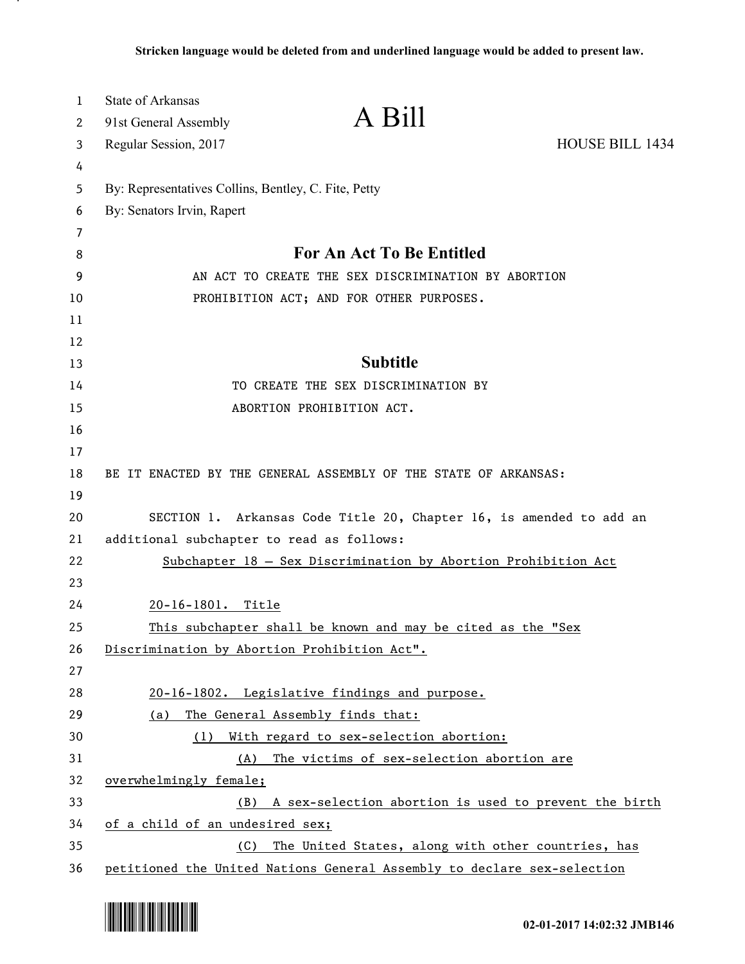| 1        | <b>State of Arkansas</b>                             | A Bill                                                                  |                        |
|----------|------------------------------------------------------|-------------------------------------------------------------------------|------------------------|
| 2        | 91st General Assembly                                |                                                                         |                        |
| 3        | Regular Session, 2017                                |                                                                         | <b>HOUSE BILL 1434</b> |
| 4        |                                                      |                                                                         |                        |
| 5        | By: Representatives Collins, Bentley, C. Fite, Petty |                                                                         |                        |
| 6        | By: Senators Irvin, Rapert                           |                                                                         |                        |
| 7        |                                                      | For An Act To Be Entitled                                               |                        |
| 8        |                                                      |                                                                         |                        |
| 9        |                                                      | AN ACT TO CREATE THE SEX DISCRIMINATION BY ABORTION                     |                        |
| 10       |                                                      | PROHIBITION ACT; AND FOR OTHER PURPOSES.                                |                        |
| 11       |                                                      |                                                                         |                        |
| 12<br>13 |                                                      | <b>Subtitle</b>                                                         |                        |
| 14       |                                                      | TO CREATE THE SEX DISCRIMINATION BY                                     |                        |
| 15       |                                                      | ABORTION PROHIBITION ACT.                                               |                        |
| 16       |                                                      |                                                                         |                        |
| 17       |                                                      |                                                                         |                        |
| 18       |                                                      | BE IT ENACTED BY THE GENERAL ASSEMBLY OF THE STATE OF ARKANSAS:         |                        |
| 19       |                                                      |                                                                         |                        |
| 20       |                                                      | SECTION 1. Arkansas Code Title 20, Chapter 16, is amended to add an     |                        |
| 21       | additional subchapter to read as follows:            |                                                                         |                        |
| 22       |                                                      | Subchapter 18 - Sex Discrimination by Abortion Prohibition Act          |                        |
| 23       |                                                      |                                                                         |                        |
| 24       | 20-16-1801. Title                                    |                                                                         |                        |
| 25       |                                                      | This subchapter shall be known and may be cited as the "Sex             |                        |
| 26       |                                                      | Discrimination by Abortion Prohibition Act".                            |                        |
| 27       |                                                      |                                                                         |                        |
| 28       |                                                      | 20-16-1802. Legislative findings and purpose.                           |                        |
| 29       | (a)                                                  | The General Assembly finds that:                                        |                        |
| 30       |                                                      | (1) With regard to sex-selection abortion:                              |                        |
| 31       |                                                      | (A) The victims of sex-selection abortion are                           |                        |
| 32       | overwhelmingly female;                               |                                                                         |                        |
| 33       | (B)                                                  | A sex-selection abortion is used to prevent the birth                   |                        |
| 34       | of a child of an undesired sex;                      |                                                                         |                        |
| 35       | (C)                                                  | The United States, along with other countries, has                      |                        |
| 36       |                                                      | petitioned the United Nations General Assembly to declare sex-selection |                        |



.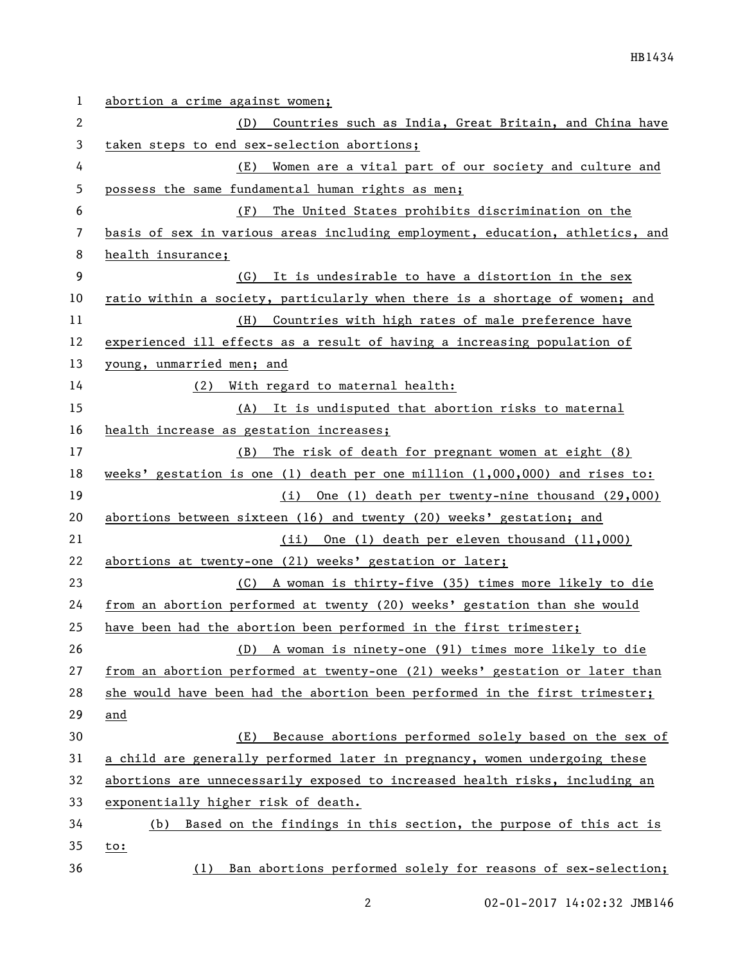| $\mathbf 1$ | abortion a crime against women;                                               |
|-------------|-------------------------------------------------------------------------------|
| 2           | Countries such as India, Great Britain, and China have<br>(D)                 |
| 3           | taken steps to end sex-selection abortions;                                   |
| 4           | Women are a vital part of our society and culture and<br>(E)                  |
| 5           | possess the same fundamental human rights as men;                             |
| 6           | The United States prohibits discrimination on the<br>(F)                      |
| 7           | basis of sex in various areas including employment, education, athletics, and |
| 8           | health insurance;                                                             |
| 9           | (G) It is undesirable to have a distortion in the sex                         |
| 10          | ratio within a society, particularly when there is a shortage of women; and   |
| 11          | (H) Countries with high rates of male preference have                         |
| 12          | experienced ill effects as a result of having a increasing population of      |
| 13          | young, unmarried men; and                                                     |
| 14          | (2) With regard to maternal health:                                           |
| 15          | (A) It is undisputed that abortion risks to maternal                          |
| 16          | health increase as gestation increases;                                       |
| 17          | (B) The risk of death for pregnant women at eight (8)                         |
| 18          | weeks' gestation is one (1) death per one million $(1,000,000)$ and rises to: |
| 19          | (i) One (1) death per twenty-nine thousand (29,000)                           |
| 20          | abortions between sixteen (16) and twenty (20) weeks' gestation; and          |
| 21          | (ii) One (1) death per eleven thousand (11,000)                               |
| 22          | abortions at twenty-one (21) weeks' gestation or later;                       |
| 23          | (C) A woman is thirty-five (35) times more likely to die                      |
| 24          | from an abortion performed at twenty (20) weeks' gestation than she would     |
| 25          | have been had the abortion been performed in the first trimester;             |
| 26          | A woman is ninety-one (91) times more likely to die<br>(D)                    |
| 27          | from an abortion performed at twenty-one (21) weeks' gestation or later than  |
| 28          | she would have been had the abortion been performed in the first trimester;   |
| 29          | and                                                                           |
| 30          | Because abortions performed solely based on the sex of<br>(E)                 |
| 31          | a child are generally performed later in pregnancy, women undergoing these    |
| 32          | abortions are unnecessarily exposed to increased health risks, including an   |
| 33          | exponentially higher risk of death.                                           |
| 34          | Based on the findings in this section, the purpose of this act is<br>(b)      |
| 35          | <u>to:</u>                                                                    |
| 36          | Ban abortions performed solely for reasons of sex-selection;<br>(1)           |

2 02-01-2017 14:02:32 JMB146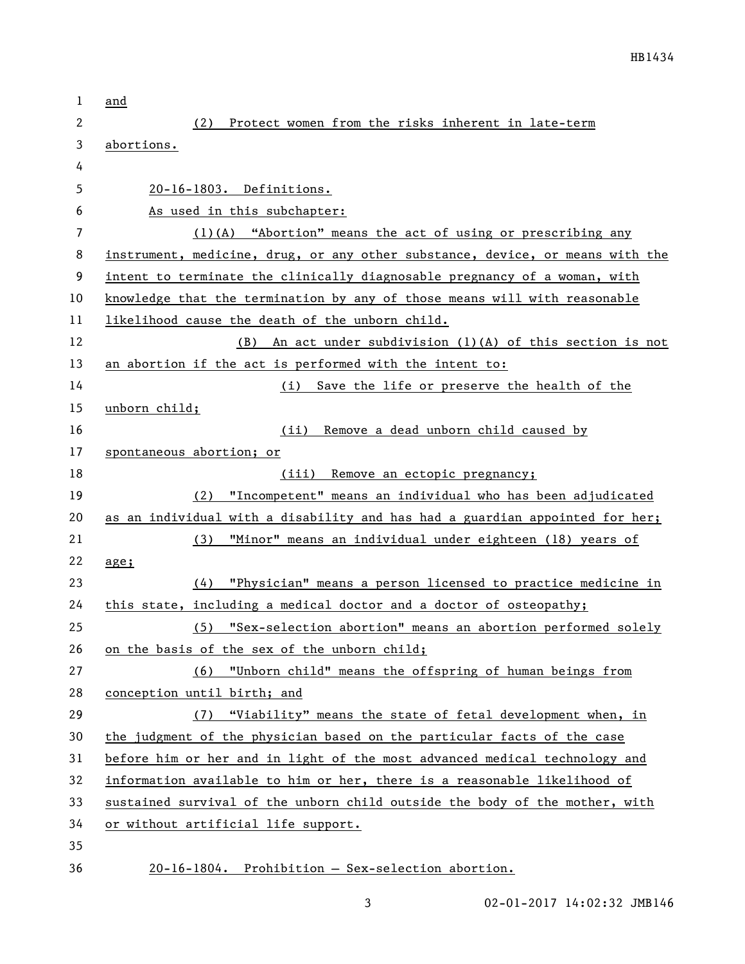| 1      | and                                                                           |
|--------|-------------------------------------------------------------------------------|
| 2      | Protect women from the risks inherent in late-term<br>(2)                     |
| 3      | abortions.                                                                    |
| 4      |                                                                               |
| 5      | 20-16-1803. Definitions.                                                      |
| 6      | As used in this subchapter:                                                   |
| 7      | $(1)(A)$ "Abortion" means the act of using or prescribing any                 |
| 8      | instrument, medicine, drug, or any other substance, device, or means with the |
| 9      | intent to terminate the clinically diagnosable pregnancy of a woman, with     |
| 10     | knowledge that the termination by any of those means will with reasonable     |
| 11     | likelihood cause the death of the unborn child.                               |
| 12     | An act under subdivision (1)(A) of this section is not<br>(B)                 |
| 13     | an abortion if the act is performed with the intent to:                       |
| 14     | (i) Save the life or preserve the health of the                               |
| 15     | unborn child;                                                                 |
| 16     | Remove a dead unborn child caused by<br>(iii)                                 |
| 17     | spontaneous abortion; or                                                      |
| 18     | Remove an ectopic pregnancy;<br>(iii)                                         |
| 19     | (2) "Incompetent" means an individual who has been adjudicated                |
| 20     | as an individual with a disability and has had a guardian appointed for her;  |
| 21     | "Minor" means an individual under eighteen (18) years of<br>(3)               |
| 22     | $\frac{age}{1}$                                                               |
| 23     | (4) "Physician" means a person licensed to practice medicine in               |
| 24     | this state, including a medical doctor and a doctor of osteopathy;            |
| 25     | (5) "Sex-selection abortion" means an abortion performed solely               |
| 26     | on the basis of the sex of the unborn child;                                  |
| 27     | (6) "Unborn child" means the offspring of human beings from                   |
| 28     | conception until birth; and                                                   |
| 29     | (7) "Viability" means the state of fetal development when, in                 |
| 30     | the judgment of the physician based on the particular facts of the case       |
| 31     | before him or her and in light of the most advanced medical technology and    |
| 32     | information available to him or her, there is a reasonable likelihood of      |
| 33     | sustained survival of the unborn child outside the body of the mother, with   |
| 34     | or without artificial life support.                                           |
| 35     |                                                                               |
| $\sim$ |                                                                               |

36 20-16-1804. Prohibition — Sex-selection abortion.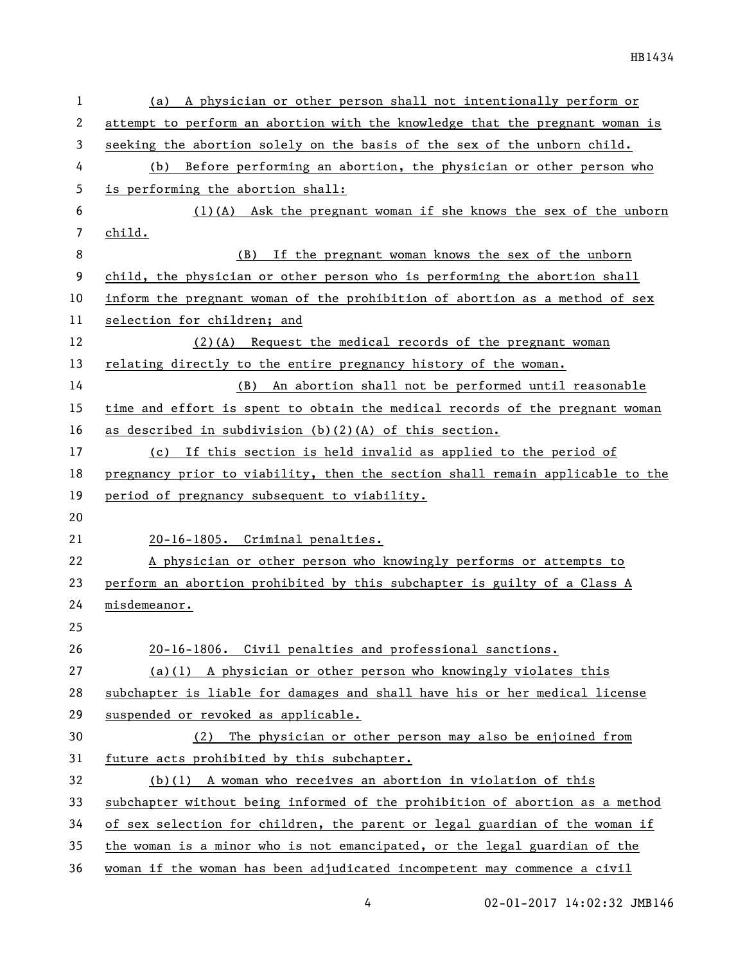| 1                        | (a) A physician or other person shall not intentionally perform or            |
|--------------------------|-------------------------------------------------------------------------------|
| 2                        | attempt to perform an abortion with the knowledge that the pregnant woman is  |
| 3                        | seeking the abortion solely on the basis of the sex of the unborn child.      |
| 4                        | Before performing an abortion, the physician or other person who<br>(b)       |
| 5                        | is performing the abortion shall:                                             |
| 6                        | (1)(A) Ask the pregnant woman if she knows the sex of the unborn              |
| $\overline{\phantom{a}}$ | child.                                                                        |
| 8                        | If the pregnant woman knows the sex of the unborn<br>(B)                      |
| 9                        | child, the physician or other person who is performing the abortion shall     |
| 10                       | inform the pregnant woman of the prohibition of abortion as a method of sex   |
| 11                       | selection for children; and                                                   |
| 12                       | $(2)(A)$ Request the medical records of the pregnant woman                    |
| 13                       | relating directly to the entire pregnancy history of the woman.               |
| 14                       | An abortion shall not be performed until reasonable<br>(B)                    |
| 15                       | time and effort is spent to obtain the medical records of the pregnant woman  |
| 16                       | as described in subdivision (b)(2)(A) of this section.                        |
| 17                       | (c) If this section is held invalid as applied to the period of               |
| 18                       | pregnancy prior to viability, then the section shall remain applicable to the |
| 19                       | period of pregnancy subsequent to viability.                                  |
| 20                       |                                                                               |
| 21                       | 20-16-1805. Criminal penalties.                                               |
| 22                       | A physician or other person who knowingly performs or attempts to             |
| 23                       | perform an abortion prohibited by this subchapter is guilty of a Class A      |
| 24                       | misdemeanor.                                                                  |
| 25                       |                                                                               |
| 26                       | 20-16-1806. Civil penalties and professional sanctions.                       |
| 27                       | $(a)(1)$ A physician or other person who knowingly violates this              |
| 28                       | subchapter is liable for damages and shall have his or her medical license    |
| 29                       | suspended or revoked as applicable.                                           |
| 30                       | The physician or other person may also be enjoined from<br>(2)                |
| 31                       | future acts prohibited by this subchapter.                                    |
| 32                       | $(b)(1)$ A woman who receives an abortion in violation of this                |
| 33                       | subchapter without being informed of the prohibition of abortion as a method  |
| 34                       | of sex selection for children, the parent or legal guardian of the woman if   |
| 35                       | the woman is a minor who is not emancipated, or the legal guardian of the     |
| 36                       | woman if the woman has been adjudicated incompetent may commence a civil      |

4 02-01-2017 14:02:32 JMB146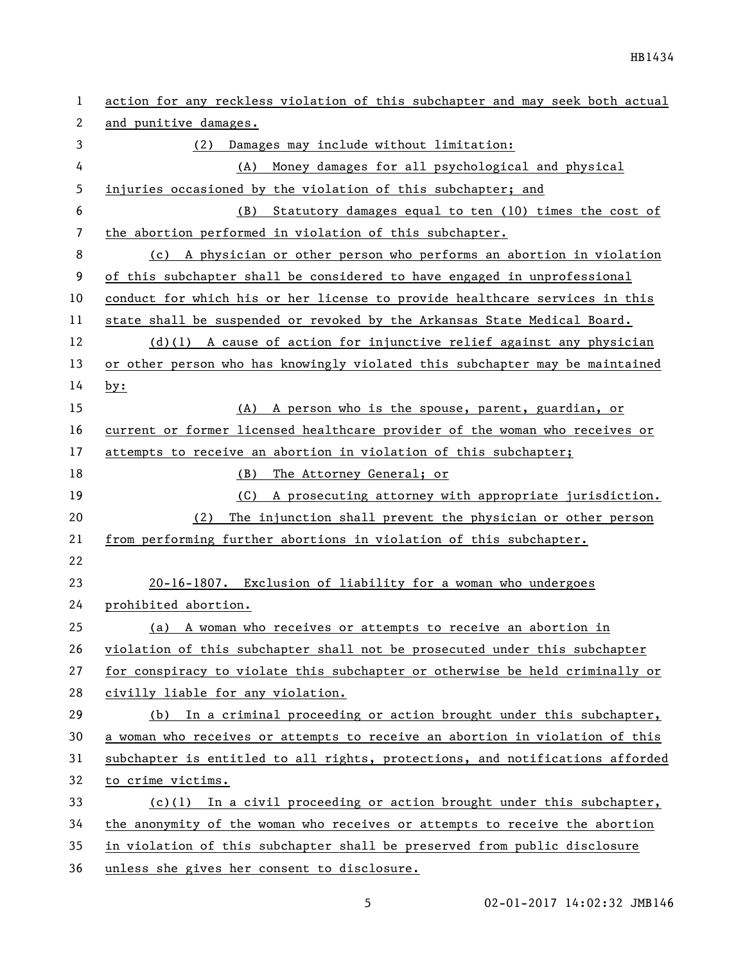| 1  | action for any reckless violation of this subchapter and may seek both actual |
|----|-------------------------------------------------------------------------------|
| 2  | and punitive damages.                                                         |
| 3  | Damages may include without limitation:<br>(2)                                |
| 4  | Money damages for all psychological and physical<br>(A)                       |
| 5  | injuries occasioned by the violation of this subchapter; and                  |
| 6  | Statutory damages equal to ten (10) times the cost of<br>(B)                  |
| 7  | the abortion performed in violation of this subchapter.                       |
| 8  | (c) A physician or other person who performs an abortion in violation         |
| 9  | of this subchapter shall be considered to have engaged in unprofessional      |
| 10 | conduct for which his or her license to provide healthcare services in this   |
| 11 | state shall be suspended or revoked by the Arkansas State Medical Board.      |
| 12 | $(d)(1)$ A cause of action for injunctive relief against any physician        |
| 13 | or other person who has knowingly violated this subchapter may be maintained  |
| 14 | by:                                                                           |
| 15 | (A) A person who is the spouse, parent, guardian, or                          |
| 16 | current or former licensed healthcare provider of the woman who receives or   |
| 17 | attempts to receive an abortion in violation of this subchapter;              |
| 18 | The Attorney General; or<br>(B)                                               |
| 19 | (C) A prosecuting attorney with appropriate jurisdiction.                     |
| 20 | The injunction shall prevent the physician or other person<br>(2)             |
| 21 | from performing further abortions in violation of this subchapter.            |
| 22 |                                                                               |
| 23 | 20-16-1807. Exclusion of liability for a woman who undergoes                  |
| 24 | prohibited abortion.                                                          |
| 25 | (a) A woman who receives or attempts to receive an abortion in                |
| 26 | violation of this subchapter shall not be prosecuted under this subchapter    |
| 27 | for conspiracy to violate this subchapter or otherwise be held criminally or  |
| 28 | civilly liable for any violation.                                             |
| 29 | In a criminal proceeding or action brought under this subchapter,<br>(b)      |
| 30 | a woman who receives or attempts to receive an abortion in violation of this  |
| 31 | subchapter is entitled to all rights, protections, and notifications afforded |
| 32 | to crime victims.                                                             |
| 33 | $(c)(1)$ In a civil proceeding or action brought under this subchapter,       |
| 34 | the anonymity of the woman who receives or attempts to receive the abortion   |
| 35 | in violation of this subchapter shall be preserved from public disclosure     |
| 36 | unless she gives her consent to disclosure.                                   |